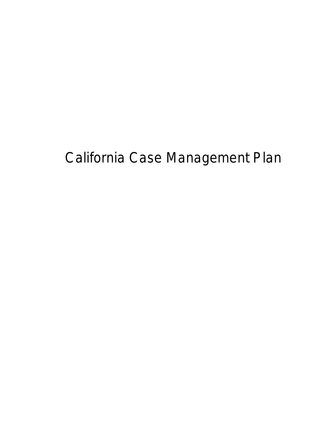# California Case Management Plan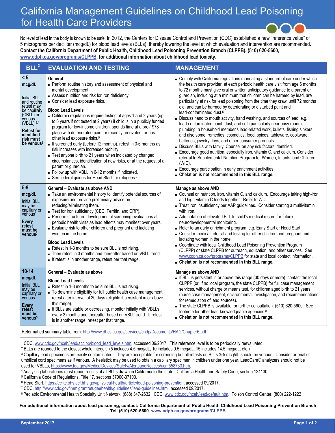## California Management Guidelines on Childhood Lead Poisoning for Health Care Providers

No level of lead in the body is known to be safe. In 2012, the Centers for Disease Control and Prevention (CDC) established a new "reference value" of 5 micrograms per deciliter (mcg/dL) for blood lead levels (BLLs), thereby lowering the level at which evaluation and intervention are recommended.1 **Contact the California Department of Public Health, Childhood Lead Poisoning Prevention Branch (CLPPB), (510) 620-5600, www.cdph.ca.gov/programs/CLPPB, for additional information about childhood lead toxicity**.

| BLL <sup>2</sup>                                                                                                                                                                                 | <b>EVALUATION AND TESTING</b>                                                                                                                                                                                                                                                                                                                                                                                                                                                                                                                                                                                                                                                                                                                                                                                                                                                                                                            | <b>MANAGEMENT</b>                                                                                                                                                                                                                                                                                                                                                                                                                                                                                                                                                                                                                                                                                                                                                                                                                                                                                                                                                                                                                                                                                                                                                                                                                                               |
|--------------------------------------------------------------------------------------------------------------------------------------------------------------------------------------------------|------------------------------------------------------------------------------------------------------------------------------------------------------------------------------------------------------------------------------------------------------------------------------------------------------------------------------------------------------------------------------------------------------------------------------------------------------------------------------------------------------------------------------------------------------------------------------------------------------------------------------------------------------------------------------------------------------------------------------------------------------------------------------------------------------------------------------------------------------------------------------------------------------------------------------------------|-----------------------------------------------------------------------------------------------------------------------------------------------------------------------------------------------------------------------------------------------------------------------------------------------------------------------------------------------------------------------------------------------------------------------------------------------------------------------------------------------------------------------------------------------------------------------------------------------------------------------------------------------------------------------------------------------------------------------------------------------------------------------------------------------------------------------------------------------------------------------------------------------------------------------------------------------------------------------------------------------------------------------------------------------------------------------------------------------------------------------------------------------------------------------------------------------------------------------------------------------------------------|
| <5<br>mcg/dL<br><b>Initial BLL</b><br>and routine<br>retest may<br>be capillary<br>(CBLL) or<br>venous<br>$(VBLL)$ 3,4<br><b>Retest for</b><br>identified<br>risk must<br>be venous <sup>3</sup> | General<br>- Perform routine history and assessment of physical and<br>mental development.<br>Assess nutrition and risk for iron deficiency.<br>Consider lead exposure risks.<br><b>Blood Lead Levels</b><br>• California regulations require testing at ages 1 and 2 years (up<br>to 6 years if not tested at 2 years) if child is in a publicly funded<br>program for low-income children, spends time at a pre-1978<br>place with deteriorated paint or recently renovated, or has<br>other lead exposure risks. <sup>5</sup><br>If screened early (before 12 months), retest in 3-6 months as<br>risk increases with increased mobility.<br>■ Test anyone birth to 21 years when indicated by changed<br>circumstances, identification of new risks, or at the request of a<br>parent or guardian.<br>- Follow up with VBLL in 6-12 months if indicated.<br>See federal guides for Head Start <sup>6</sup> or refugees. <sup>7</sup> | - Comply with California regulations mandating a standard of care under which<br>the health care provider, at each periodic health care visit from age 6 months<br>to 72 months must give oral or written anticipatory guidance to a parent or<br>guardian, including at a minimum that children can be harmed by lead, are<br>particularly at risk for lead poisoning from the time they crawl until 72 months<br>old, and can be harmed by deteriorating or disturbed paint and<br>lead-contaminated dust. <sup>5</sup><br>Discuss hand to mouth activity, hand washing, and sources of lead: e.g.<br>lead-contaminated paint, dust, and soil (particularly near busy roads),<br>plumbing, a household member's lead-related work, bullets, fishing sinkers;<br>and also some: remedies, cosmetics, food, spices, tableware, cookware,<br>batteries, jewelry, toys, and other consumer products.<br>Discuss BLLs with family. Counsel on any risk factors identified.<br>Encourage good nutrition, especially iron, vitamin C, and calcium. Consider<br>referral to Supplemental Nutrition Program for Women, Infants, and Children<br>(WIC).<br>Encourage participation in early enrichment activities.<br>- Chelation is not recommended in this BLL range. |
| $5-9$<br>mcg/dL<br><b>Initial BLL</b><br>may be<br>capillary or<br>venous<br><b>Every</b><br>retest<br>must be<br>venous <sup>3</sup>                                                            | General - Evaluate as above AND<br>Take an environmental history to identify potential sources of<br>exposure and provide preliminary advice on<br>reducing/eliminating them.<br>Fest for iron sufficiency (CBC, Ferritin, and CRP).<br>- Perform structured developmental screening evaluations at<br>periodic health visits as lead effects may manifest over years.<br>Evaluate risk to other children and pregnant and lactating<br>women in the home.<br><b>Blood Lead Levels</b><br>Retest in 1-3 months to be sure BLL is not rising.<br>Then retest in 3 months and thereafter based on VBLL trend.<br>If retest is in another range, retest per that range.                                                                                                                                                                                                                                                                     | Manage as above AND<br>Counsel on nutrition, iron, vitamin C, and calcium. Encourage taking high-iron<br>and high-vitamin C foods together. Refer to WIC.<br>Treat iron insufficiency per AAP guidelines. Consider starting a multivitamin<br>with iron.<br>Add notation of elevated BLL to child's medical record for future<br>neurodevelopmental monitoring.<br>Refer to an early enrichment program, e.g. Early Start or Head Start.<br>■ Consider medical referral and testing for other children and pregnant and<br>lactating women in the home.<br>Coordinate with local Childhood Lead Poisoning Prevention Program<br>(CLPPP) or state CLPPB for outreach, education, and other services. See<br>www.cdph.ca.gov/programs/CLPPB for state and local contact information.<br>- Chelation is not recommended in this BLL range.                                                                                                                                                                                                                                                                                                                                                                                                                         |
| $10 - 14$<br>mcg/dL<br><b>Initial BLL</b><br>may be<br>capillary or<br>venous<br><b>Every</b><br>retest<br>must be<br>venous <sup>3</sup>                                                        | General - Evaluate as above<br><b>Blood Lead Levels</b><br>Retest in 1-3 months to be sure BLL is not rising.<br>- To determine eligibility for full public health case management,<br>retest after interval of 30 days (eligible if persistent in or above<br>this range).<br>If BLLs are stable or decreasing, monitor initially with VBLLs<br>every 3 months and thereafter based on VBLL trend. If retest<br>is in another range, retest per that range.                                                                                                                                                                                                                                                                                                                                                                                                                                                                             | Manage as above AND<br>If BLL is persistent in or above this range (30 days or more), contact the local<br>CLPPP (or, if no local program, the state CLPPB) for full case management<br>services, without charge or means test, for children aged birth to 21 years<br>(nurse case management, environmental investigation, and recommendations<br>for remediation of lead sources).<br>The state CLPPB is available for further consultation: (510) 620-5600. See<br>footnote for other lead-knowledgeable agencies. <sup>8</sup><br>- Chelation is not recommended in this BLL range.                                                                                                                                                                                                                                                                                                                                                                                                                                                                                                                                                                                                                                                                         |

Reformatted summary table from: http://www.dhcs.ca.gov/services/chdp/Documents/HAG/Chapter6.pdf

<sup>2</sup> BLLs are rounded to the closest whole integer. (5 includes 4.5 mcg/dL, 10 includes 9.5 mcg/dL, 15 includes 14.5 mcg/dL, etc.)

1 CDC, <u>www.cdc.gov/nceh/lead/acclpp/blood lead levels.htm</u>, accessed 09/2017. This reference level is to be periodically reevaluated.<br><sup>2</sup> BLLs are rounded to the closest whole integer. (5 includes 4.5 mcg/dL, 10 includes umbilical cord specimens as if venous. A heelstick may be used to obtain a capillary specimen in children under one year. LeadCare® analyzers should not be

used for VBLLs, https://www.fda.gov/MedicalDevices/Safety/AlertsandNotices/ucm558733.htm.<br>4 Analyzing laboratories must report results of all BLLs drawn in California to the state. California Health and Safety Code, sectio

<sup>6</sup> Head Start, <u>https://eclkc.ohs.acf.hhs.gov/physical-health/article/lead-poisoning-prevention, accessed 09/2017.<br>7 CDC, <u>http://www.cdc.gov/immigrantrefugeehealth/guidelines/lead-guidelines.html, <mark>accessed 09/2017.</mark><br>8 P</u></u>

**For additional information about lead poisoning, contact: California Department of Public Health Childhood Lead Poisoning Prevention Branch Tel. (510) 620-5600 www.cdph.ca.gov/programs/CLPPB**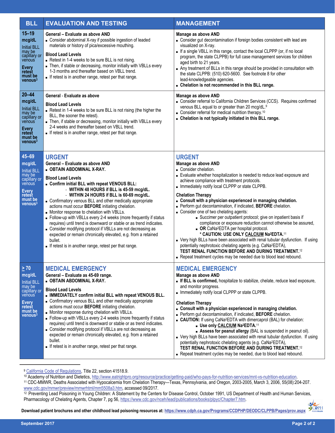| <b>BLL</b>                                                                                                                                | <b>EVALUATION AND TESTING</b>                                                                                                                                                                                                                                                                                                                                                                                                                                                                                                                                                                                                                                                                                                                                            | <b>MANAGEMENT</b>                                                                                                                                                                                                                                                                                                                                                                                                                                                                                                                                                                                                                                                                                                                                                                                                                                                                                                                                                              |
|-------------------------------------------------------------------------------------------------------------------------------------------|--------------------------------------------------------------------------------------------------------------------------------------------------------------------------------------------------------------------------------------------------------------------------------------------------------------------------------------------------------------------------------------------------------------------------------------------------------------------------------------------------------------------------------------------------------------------------------------------------------------------------------------------------------------------------------------------------------------------------------------------------------------------------|--------------------------------------------------------------------------------------------------------------------------------------------------------------------------------------------------------------------------------------------------------------------------------------------------------------------------------------------------------------------------------------------------------------------------------------------------------------------------------------------------------------------------------------------------------------------------------------------------------------------------------------------------------------------------------------------------------------------------------------------------------------------------------------------------------------------------------------------------------------------------------------------------------------------------------------------------------------------------------|
| $15 - 19$<br>mcg/dL<br><b>Initial BLL</b><br>may be<br>capillary or<br>venous<br><b>Every</b><br>retest<br>must be<br>venous <sup>3</sup> | General - Evaluate as above AND<br>- Consider abdominal X-ray if possible ingestion of leaded<br>materials or history of pica/excessive mouthing.<br><b>Blood Lead Levels</b><br>Retest in 1-4 weeks to be sure BLL is not rising.<br>Then, if stable or decreasing, monitor initially with VBLLs every<br>1-3 months and thereafter based on VBLL trend.<br>If retest is in another range, retest per that range.                                                                                                                                                                                                                                                                                                                                                       | Manage as above AND<br>Consider gut decontamination if foreign bodies consistent with lead are<br>visualized on X-ray.<br>If a single VBLL in this range, contact the local CLPPP (or, if no local<br>program, the state CLPPB) for full case management services for children<br>aged birth to 21 years.<br>Any treatment of BLLs in this range should be provided in consultation with<br>the state CLPPB: (510) 620-5600. See footnote 8 for other<br>lead-knowledgeable agencies.<br>- Chelation is not recommended in this BLL range.                                                                                                                                                                                                                                                                                                                                                                                                                                     |
| $20 - 44$<br>mcg/dL<br><b>Initial BLL</b><br>may be<br>capillary or<br>venous<br><b>Every</b><br>retest<br>must be<br>venous <sup>3</sup> | General - Evaluate as above<br><b>Blood Lead Levels</b><br>Retest in 1-4 weeks to be sure BLL is not rising (the higher the<br>BLL, the sooner the retest).<br>Then, if stable or decreasing, monitor initially with VBLLs every<br>2-4 weeks and thereafter based on VBLL trend.<br>If retest is in another range, retest per that range.                                                                                                                                                                                                                                                                                                                                                                                                                               | Manage as above AND<br>Consider referral to California Children Services (CCS). Requires confirmed<br>venous BLL equal to or greater than 20 mcg/dL.9<br>• Consider referral for medical nutrition therapy. <sup>10</sup><br>- Chelation is not typically initiated in this BLL range.                                                                                                                                                                                                                                                                                                                                                                                                                                                                                                                                                                                                                                                                                         |
| $45 - 69$<br>mcg/dL<br><b>Initial BLL</b><br>may be<br>capillary or<br><b>venous</b><br>Every<br>retest<br>must be<br>venous <sup>3</sup> | <b>URGENT</b><br>General - Evaluate as above AND<br>- OBTAIN ABDOMINAL X-RAY.<br><b>Blood Lead Levels</b><br>- Confirm initial BLL with repeat VENOUS BLL:<br>- WITHIN 48 HOURS if BLL is 45-59 mcg/dL.<br>- WITHIN 24 HOURS if BLL is 60-69 mcg/dL.<br>■ Confirmatory venous BLL and other medically appropriate<br>actions must occur <b>BEFORE</b> initiating chelation.<br>Monitor response to chelation with VBLLs.<br>- Follow-up with VBLLs every 2-4 weeks (more frequently if status<br>requires) until trend is downward or stable or as trend indicates.<br>- Consider modifying protocol if VBLLs are not decreasing as<br>expected or remain chronically elevated, e.g. from a retained<br>bullet.<br>If retest is in another range, retest per that range. | <b>URGENT</b><br>Manage as above AND<br>Consider chelation.<br>Evaluate whether hospitalization is needed to reduce lead exposure and<br>achieve compliance with treatment protocols.<br>Immediately notify local CLPPP or state CLPPB.<br><b>Chelation Therapy</b><br>- Consult with a physician experienced in managing chelation.<br>- Perform gut decontamination, if indicated, BEFORE chelation.<br>Consider one of two chelating agents:<br>Succimer per outpatient protocol; give on inpatient basis if<br>compliance or exposure reduction cannot otherwise be assured,<br>• OR CaNa <sup>2</sup> EDTA per hospital protocol.<br>* CAUTION: USE ONLY CALCIUM Na2EDTA.11<br>• Very high BLLs have been associated with renal tubular dysfunction. If using<br>potentially nephrotoxic chelating agents (e.g. CaNa <sup>2</sup> EDTA),<br><b>TEST RENAL FUNCTION BEFORE AND DURING TREATMENT.12</b><br>Repeat treatment cycles may be needed due to blood lead rebound. |
| $\geq 70$<br>mcg/dL<br><b>Initial BLL</b><br>may be<br>capillary or<br>venous<br>Every<br>retest<br>must be<br>venous <sup>3</sup>        | <b>MEDICAL EMERGENCY</b><br>General - Evaluate as 45-69 range.<br><b>DETAIN ABDOMINAL X-RAY.</b><br><b>Blood Lead Levels</b><br>- IMMEDIATELY confirm initial BLL with repeat VENOUS BLL.<br>Confirmatory venous BLL and other medically appropriate<br>actions must occur <b>BEFORE</b> initiating chelation.<br>Monitor response during chelation with VBLLs.<br>- Follow-up with VBLLs every 2-4 weeks (more frequently if status<br>requires) until trend is downward or stable or as trend indicates.<br>• Consider modifying protocol if VBLLs are not decreasing as<br>expected or remain chronically elevated, e.g. from a retained<br>bullet.<br>If retest is in another range, retest per that range.                                                          | <b>MEDICAL EMERGENCY</b><br>Manage as above AND<br>. If BLL is confirmed, hospitalize to stabilize, chelate, reduce lead exposure,<br>and monitor progress.<br>Immediately notify local CLPPP or state CLPPB.<br><b>Chelation Therapy</b><br>- Consult with a physician experienced in managing chelation.<br>Perform gut decontamination, if indicated, BEFORE chelation.<br><b>CAUTION:</b> If using CaNa <sup>2</sup> EDTA with dimercaprol (BAL) for chelation:<br>Use only CALCIUM Na <sup>2</sup> EDTA. <sup>11</sup><br><b>Assess for peanut allergy</b> (BAL is suspended in peanut oil).<br>• Very high BLLs have been associated with renal tubular dysfunction. If using<br>potentially nephrotoxic chelating agents (e.g. CaNa <sup>2</sup> EDTA),<br><b>TEST RENAL FUNCTION BEFORE AND DURING TREATMENT.12</b><br>Repeat treatment cycles may be needed, due to blood lead rebound.                                                                               |

<sup>9</sup> California Code of Regulations, Title 22, section 41518.9.<br><sup>10</sup> Academy of Nutrition and Dietetics, http://www.eatrightpro.org/resource/practice/getting-paid/who-pays-for-nutrition-services/mnt-vs-nutrition-education.<br>

<sup>12</sup> Preventing Lead Poisoning in Young Children: A Statement by the Centers for Disease Control, October 1991, US Department of Health and Human Services, Pharmacology of Chelating Agents, Chapter 7, pg 56, https://www.cdc.gov/nceh/lead/publications/books/plpyc/Chapter7.htm.

COPH **Download patient brochures and other childhood lead poisoning resources at: https://www.cdph.ca.gov/Programs/CCDPHP/DEODC/CLPPB/Pages/prov.aspx**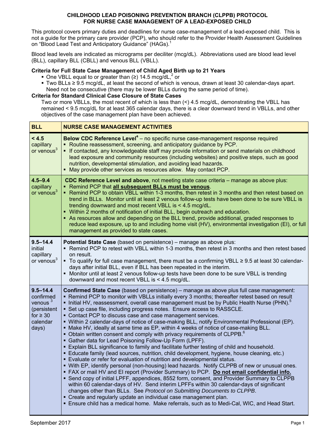#### **CHILDHOOD LEAD POISONING PREVENTION BRANCH (CLPPB) PROTOCOL FOR NURSE CASE MANAGEMENT OF A LEAD-EXPOSED CHILD**

This protocol covers primary duties and deadlines for nurse case-management of a lead-exposed child. This is not a guide for the primary care provider (PCP), who should refer to the Provider Health Assessment Guidelines on "Blood Lead Test and Anticipatory Guidance" (HAGs).<sup>1</sup>

Blood lead levels are indicated as micrograms per deciliter (mcg/dL). Abbreviations used are blood lead level (BLL), capillary BLL (CBLL) and venous BLL (VBLL).

#### **Criteria for Full State Case Management of Child Aged Birth up to 21 Years**

- One VBLL equal to or greater than (≥) 14.5 mcg/dL,<sup>2</sup> or
- Two BLLs ≥ 9.5 mcg/dL, at least the second of which is venous, drawn at least 30 calendar-days apart. Need not be consecutive (there may be lower BLLs during the same period of time).

#### **Criteria for Standard Clinical Case Closure of State Cases**

Two or more VBLLs, the most recent of which is less than (<) 4.5 mcg/dL, demonstrating the VBLL has remained < 9.5 mcg/dL for at least 365 calendar days, there is a clear downward trend in VBLLs, and other objectives of the case management plan have been achieved.

| <b>BLL</b>                                                                                   | <b>NURSE CASE MANAGEMENT ACTIVITIES</b>                                                                                                                                                                                                                                                                                                                                                                                                                                                                                                                                                                                                                                                                                                                                                                                                                                                                                                                                                                                                                                                                                                                                                                                                                                                                                                                                                                                                                                                                                                                                                                                                                                                                        |
|----------------------------------------------------------------------------------------------|----------------------------------------------------------------------------------------------------------------------------------------------------------------------------------------------------------------------------------------------------------------------------------------------------------------------------------------------------------------------------------------------------------------------------------------------------------------------------------------------------------------------------------------------------------------------------------------------------------------------------------------------------------------------------------------------------------------------------------------------------------------------------------------------------------------------------------------------------------------------------------------------------------------------------------------------------------------------------------------------------------------------------------------------------------------------------------------------------------------------------------------------------------------------------------------------------------------------------------------------------------------------------------------------------------------------------------------------------------------------------------------------------------------------------------------------------------------------------------------------------------------------------------------------------------------------------------------------------------------------------------------------------------------------------------------------------------------|
| < 4.5<br>capillary<br>or venous <sup>3</sup>                                                 | Below CDC Reference Level <sup>4</sup> – no specific nurse case-management response required<br>Routine reassessment, screening, and anticipatory guidance by PCP.<br>• If contacted, any knowledgeable staff may provide information or send materials on childhood<br>lead exposure and community resources (including websites) and positive steps, such as good<br>nutrition, developmental stimulation, and avoiding lead hazards.<br>• May provide other services as resources allow. May contact PCP.                                                                                                                                                                                                                                                                                                                                                                                                                                                                                                                                                                                                                                                                                                                                                                                                                                                                                                                                                                                                                                                                                                                                                                                                   |
| $4.5 - 9.4$<br>capillary<br>or venous <sup>3</sup>                                           | CDC Reference Level and above, not meeting state case criteria - manage as above plus:<br>Remind PCP that all subsequent BLLs must be venous.<br>• Remind PCP to obtain VBLL within 1-3 months, then retest in 3 months and then retest based on<br>trend in BLLs. Monitor until at least 2 venous follow-up tests have been done to be sure VBLL is<br>trending downward and most recent VBLL is < 4.5 mcg/dL.<br>• Within 2 months of notification of initial BLL, begin outreach and education.<br>As resources allow and depending on the BLL trend, provide additional, graded responses to<br>reduce lead exposure, up to and including home visit (HV), environmental investigation (EI), or full<br>management as provided to state cases.                                                                                                                                                                                                                                                                                                                                                                                                                                                                                                                                                                                                                                                                                                                                                                                                                                                                                                                                                             |
| $9.5 - 14.4$<br>initial<br>capillary<br>or venous $3$                                        | Potential State Case (based on persistence) - manage as above plus:<br>• Remind PCP to retest with VBLL within 1-3 months, then retest in 3 months and then retest based<br>on result.<br>To qualify for full case management, there must be a confirming VBLL $\geq 9.5$ at least 30 calendar-<br>days after initial BLL, even if BLL has been repeated in the interim.<br>• Monitor until at least 2 venous follow-up tests have been done to be sure VBLL is trending<br>downward and most recent VBLL is < 4.5 mcg/dL.                                                                                                                                                                                                                                                                                                                                                                                                                                                                                                                                                                                                                                                                                                                                                                                                                                                                                                                                                                                                                                                                                                                                                                                     |
| $9.5 - 14.4$<br>confirmed<br>venous $3$<br>(persistent<br>for $\geq 30$<br>calendar<br>days) | Confirmed State Case (based on persistence) - manage as above plus full case management:<br>- Remind PCP to monitor with VBLLs initially every 3 months; thereafter retest based on result<br>• Initial HV, reassessment, overall case management must be by Public Health Nurse (PHN). <sup>5</sup><br>• Set up case file, including progress notes. Ensure access to RASSCLE.<br>• Contact PCP to discuss case and case management services.<br>. Within 2 calendar-days of notice of case-making BLL, notify Environmental Professional (EP).<br>• Make HV, ideally at same time as EP, within 4 weeks of notice of case-making BLL.<br>$\bullet$ Obtain written consent and comply with privacy requirements of CLPPB.<br>• Gather data for Lead Poisoning Follow-Up Form (LPFF).<br>. Explain BLL significance to family and facilitate further testing of child and household.<br>- Educate family (lead sources, nutrition, child development, hygiene, house cleaning, etc.)<br>. Evaluate or refer for evaluation of nutrition and developmental status.<br>• With EP, identify personal (non-housing) lead hazards. Notify CLPPB of new or unusual ones.<br>. FAX or mail HV and El report (Provider Summary) to PCP. Do not email confidential info.<br>• Send copy of initial LPFF, appendices, 8552 form, consent, and Provider Summary to CLPPB<br>within 60 calendar-days of HV. Send interim LPFFs within 30 calendar-days of significant<br>changes other than BLLs. See Protocol on Submitting Documents to CLPPB.<br>• Create and regularly update an individual case management plan.<br><b>Ensure child has a medical home. Make referrals, such as to Medi-Cal, WIC, and Head Start.</b> |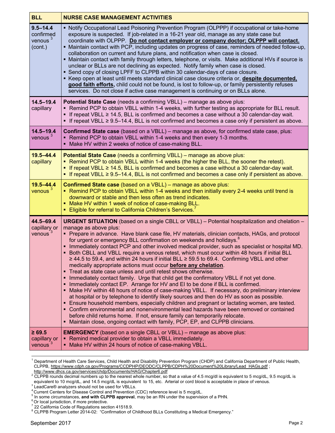| <b>BLL</b>                                         | <b>NURSE CASE MANAGEMENT ACTIVITIES</b>                                                                                                                                                                                                                                                                                                                                                                                                                                                                                                                                                                                                                                                                                                                                                                                                                                                                                                                                                                                                                                                                                                                                                                                                                                                                                                                                                                                                                                                                              |  |
|----------------------------------------------------|----------------------------------------------------------------------------------------------------------------------------------------------------------------------------------------------------------------------------------------------------------------------------------------------------------------------------------------------------------------------------------------------------------------------------------------------------------------------------------------------------------------------------------------------------------------------------------------------------------------------------------------------------------------------------------------------------------------------------------------------------------------------------------------------------------------------------------------------------------------------------------------------------------------------------------------------------------------------------------------------------------------------------------------------------------------------------------------------------------------------------------------------------------------------------------------------------------------------------------------------------------------------------------------------------------------------------------------------------------------------------------------------------------------------------------------------------------------------------------------------------------------------|--|
| $9.5 - 14.4$<br>confirmed<br>venous $3$<br>(cont.) | • Notify Occupational Lead Poisoning Prevention Program (OLPPP) if occupational or take-home<br>exposure is suspected. If job-related in a 16-21 year old, manage as any state case but<br>coordinate with OLPPP. Do not contact employer or company doctor; OLPPP will contact.<br>• Maintain contact with PCP, including updates on progress of case, reminders of needed follow-up,<br>collaboration on current and future plans, and notification when case is closed.<br>• Maintain contact with family through letters, telephone, or visits. Make additional HVs if source is<br>unclear or BLLs are not declining as expected. Notify family when case is closed.<br>• Send copy of closing LPFF to CLPPB within 30 calendar-days of case closure.<br>- Keep open at least until meets standard clinical case closure criteria or, despite documented,<br>good faith efforts, child could not be found, is lost to follow-up, or family persistently refuses<br>services. Do not close if active case management is continuing or on BLLs alone.                                                                                                                                                                                                                                                                                                                                                                                                                                                             |  |
| $14.5 - 19.4$<br>capillary                         | Potential State Case (needs a confirming VBLL) - manage as above plus:<br>Remind PCP to obtain VBLL within 1-4 weeks, with further testing as appropriate for BLL result.<br>If repeat VBLL $\geq$ 14.5, BLL is confirmed and becomes a case without a 30 calendar-day wait.<br>٠<br>If repeat VBLL $\geq$ 9.5–14.4, BLL is not confirmed and becomes a case only if persistent as above.                                                                                                                                                                                                                                                                                                                                                                                                                                                                                                                                                                                                                                                                                                                                                                                                                                                                                                                                                                                                                                                                                                                            |  |
| $14.5 - 19.4$<br>venous $3$                        | <b>Confirmed State case</b> (based on a VBLL) – manage as above, for confirmed state case, plus:<br>Remind PCP to obtain VBLL within 1-4 weeks and then every 1-3 months.<br>• Make HV within 2 weeks of notice of case-making BLL.                                                                                                                                                                                                                                                                                                                                                                                                                                                                                                                                                                                                                                                                                                                                                                                                                                                                                                                                                                                                                                                                                                                                                                                                                                                                                  |  |
| $19.5 - 44.4$<br>capillary                         | Potential State Case (needs a confirming VBLL) - manage as above plus:<br>Remind PCP to obtain VBLL within 1-4 weeks (the higher the BLL, the sooner the retest).<br>■ If repeat VBLL ≥ 14.5, BLL is confirmed and becomes a case without a 30 calendar-day wait.<br>If repeat VBLL $\geq$ 9.5–14.4, BLL is not confirmed and becomes a case only if persistent as above.                                                                                                                                                                                                                                                                                                                                                                                                                                                                                                                                                                                                                                                                                                                                                                                                                                                                                                                                                                                                                                                                                                                                            |  |
| $19.5 - 44.4$<br>venous $3$                        | <b>Confirmed State case</b> (based on a VBLL) – manage as above plus:<br>Remind PCP to obtain VBLL within 1-4 weeks and then initially every 2-4 weeks until trend is<br>downward or stable and then less often as trend indicates.<br>• Make HV within 1 week of notice of case-making BLL.<br>• Eligible for referral to California Children's Services.                                                                                                                                                                                                                                                                                                                                                                                                                                                                                                                                                                                                                                                                                                                                                                                                                                                                                                                                                                                                                                                                                                                                                           |  |
| 44.5-69.4<br>capillary or<br>venous $3$            | <b>URGENT SITUATION</b> (based on a single CBLL or VBLL) – Potential hospitalization and chelation –<br>manage as above plus:<br>Prepare in advance. Have blank case file, HV materials, clinician contacts, HAGs, and protocol<br>for urgent or emergency BLL confirmation on weekends and holidays. <sup>8</sup><br>Immediately contact PCP and other involved medical provider, such as specialist or hospital MD.<br>Both CBLL and VBLL require a venous retest, which must occur within 48 hours if initial BLL<br>٠<br>≥ 44.5 to 59.4, and within 24 hours if initial BLL ≥ 59.5 to 69.4. Confirming VBLL and other<br>medically appropriate actions must occur before any chelation.<br>• Treat as state case unless and until retest shows otherwise.<br>Immediately contact family. Urge that child get the confirmatory VBLL if not yet done.<br>٠<br>Immediately contact EP. Arrange for HV and EI to be done if BLL is confirmed.<br>٠<br>• Make HV within 48 hours of notice of case-making VBLL. If necessary, do preliminary interview<br>at hospital or by telephone to identify likely sources and then do HV as soon as possible.<br>Ensure household members, especially children and pregnant or lactating women, are tested.<br>٠<br>• Confirm environmental and nonenvironmental lead hazards have been removed or contained<br>before child returns home. If not, ensure family can temporarily relocate.<br>Maintain close, ongoing contact with family, PCP, EP, and CLPPB clinicians.<br>٠ |  |
| $\ge 69.5$<br>capillary or<br>venous $3$           | <b>EMERGENCY</b> (based on a single CBLL or VBLL) – manage as above plus:<br>• Remind medical provider to obtain a VBLL immediately.<br>• Make HV within 24 hours of notice of case-making VBLL.                                                                                                                                                                                                                                                                                                                                                                                                                                                                                                                                                                                                                                                                                                                                                                                                                                                                                                                                                                                                                                                                                                                                                                                                                                                                                                                     |  |

<sup>&</sup>lt;sup>1</sup> Department of Health Care Services, Child Health and Disability Prevention Program (CHDP) and California Department of Public Health, CLPPB, https://www.cdph.ca.gov/Programs/CCDPHP/DEODC/CLPPB/CDPH%20Document%20Library/Lead\_HAGs.pdf ;

\_<u>http://www.dhcs.ca.gov/services/chdp/Documents/HAG/Chapter6.pdf</u><br><sup>2</sup> CLPPB rounds decimal numbers up to the nearest whole number, so that a value of 4.5 mcg/dl is equivalent to 5 mcg/dL, 9.5 mcg/dL is equivalent to 10 mcg/dL, and 14.5 mcg/dL is equivalent to 15, etc. Arterial or cord blood is acceptable in place of venous.

<sup>&</sup>lt;sup>3</sup> LeadCare® analyzers should not be used for VBLLs.

<sup>4.</sup> Current Centers for Disease Control and Prevention (CDC) reference level is 5 mcg/dL.

<sup>&</sup>lt;sup>5</sup> In some circumstances, and with CLPPB approval, may be an RN under the supervision of a PHN.

 $^7$  22 California Code of Regulations section 41518.9.<br>8 CL PRB Pregram Letter 2014.03: "Confirmation of the

<sup>&</sup>lt;sup>8</sup> CLPPB Program Letter 2014-02: "Confirmation of Childhood BLLs Constituting a Medical Emergency."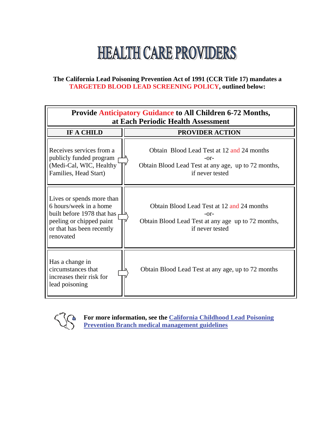# **HEALTH CARE PROVIDERS**

#### **The California Lead Poisoning Prevention Act of 1991 (CCR Title 17) mandates a TARGETED BLOOD LEAD SCREENING POLICY, outlined below:**

| <b>Provide Anticipatory Guidance to All Children 6-72 Months,</b><br>at Each Periodic Health Assessment                                                 |                                                                                                                                |  |  |  |
|---------------------------------------------------------------------------------------------------------------------------------------------------------|--------------------------------------------------------------------------------------------------------------------------------|--|--|--|
| IF A CHILD                                                                                                                                              | <b>PROVIDER ACTION</b>                                                                                                         |  |  |  |
| Receives services from a<br>publicly funded program<br>(Medi-Cal, WIC, Healthy<br>Families, Head Start)                                                 | Obtain Blood Lead Test at 12 and 24 months<br>$-0r-$<br>Obtain Blood Lead Test at any age, up to 72 months,<br>if never tested |  |  |  |
| Lives or spends more than<br>6 hours/week in a home<br>built before 1978 that has<br>peeling or chipped paint<br>or that has been recently<br>renovated | Obtain Blood Lead Test at 12 and 24 months<br>$-0r-$<br>Obtain Blood Lead Test at any age up to 72 months,<br>if never tested  |  |  |  |
| Has a change in<br>circumstances that<br>increases their risk for<br>lead poisoning                                                                     | Obtain Blood Lead Test at any age, up to 72 months                                                                             |  |  |  |



**For more information, see the [California Childhood Lead Poisoning](http://www.dhs.ca.gov/childlead/html/chld_rsk.html)  [Prevention Branch medical management guidelines](http://www.dhs.ca.gov/childlead/html/chld_rsk.html)**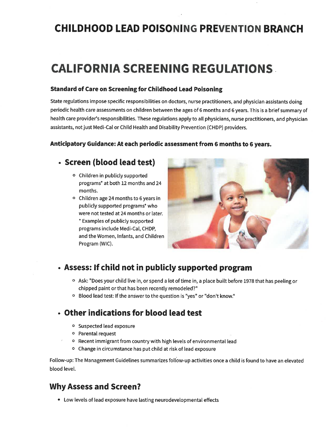## **CHILDHOOD LEAD POISONING PREVENTION BRANCH**

## **CALIFORNIA SCREENING REGULATIONS**

#### **Standard of Care on Screening for Childhood Lead Poisoning**

State regulations impose specific responsibilities on doctors, nurse practitioners, and physician assistants doing periodic health care assessments on children between the ages of 6 months and 6 years. This is a brief summary of health care provider's responsibilities. These regulations apply to all physicians, nurse practitioners, and physician assistants, not just Medi-Cal or Child Health and Disability Prevention (CHDP) providers.

#### Anticipatory Guidance: At each periodic assessment from 6 months to 6 years.

## · Screen (blood lead test)

- Children in publicly supported programs\* at both 12 months and 24 months.
- o Children age 24 months to 6 years in publicly supported programs\* who were not tested at 24 months or later. \* Examples of publicly supported programs include Medi-Cal, CHDP, and the Women, Infants, and Children Program (WIC).



### • Assess: If child not in publicly supported program

- Ask: "Does your child live in, or spend a lot of time in, a place built before 1978 that has peeling or chipped paint or that has been recently remodeled?"
- o Blood lead test: If the answer to the question is "yes" or "don't know."

### • Other indications for blood lead test

- <sup>o</sup> Suspected lead exposure
- o Parental request
- <sup>o</sup> Recent immigrant from country with high levels of environmental lead
- o Change in circumstance has put child at risk of lead exposure

Follow-up: The Management Guidelines summarizes follow-up activities once a child is found to have an elevated blood level.

#### **Why Assess and Screen?**

• Low levels of lead exposure have lasting neurodevelopmental effects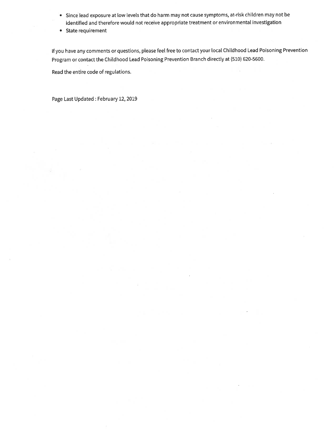- Since lead exposure at low levels that do harm may not cause symptoms, at-risk children may not be identified and therefore would not receive appropriate treatment or environmental investigation
- State requirement

If you have any comments or questions, please feel free to contact your local Childhood Lead Poisoning Prevention Program or contact the Childhood Lead Poisoning Prevention Branch directly at (510) 620-5600.

Read the entire code of regulations.

Page Last Updated: February 12, 2019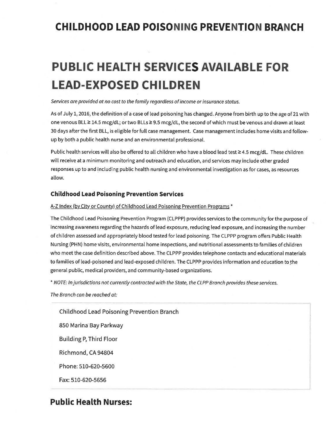## **CHILDHOOD LEAD POISONING PREVENTION BRANCH**

# **PUBLIC HEALTH SERVICES AVAILABLE FOR LEAD-EXPOSED CHILDREN**

Services are provided at no cost to the family regardless of income or insurance status.

As of July 1, 2016, the definition of a case of lead poisoning has changed. Anyone from birth up to the age of 21 with one venous BLL ≥ 14.5 mcg/dL; or two BLLs ≥ 9.5 mcg/dL, the second of which must be venous and drawn at least 30 days after the first BLL, is eligible for full case management. Case management includes home visits and followup by both a public health nurse and an environmental professional.

Public health services will also be offered to all children who have a blood lead test ≥4.5 mcg/dL. These children will receive at a minimum monitoring and outreach and education, and services may include other graded responses up to and including public health nursing and environmental investigation as for cases, as resources allow.

#### **Childhood Lead Poisoning Prevention Services**

A-Z Index (by City or County) of Childhood Lead Poisoning Prevention Programs \*

The Childhood Lead Poisoning Prevention Program (CLPPP) provides services to the community for the purpose of increasing awareness regarding the hazards of lead exposure, reducing lead exposure, and increasing the number of children assessed and appropriately blood tested for lead poisoning. The CLPPP program offers Public Health Nursing (PHN) home visits, environmental home inspections, and nutritional assessments to families of children who meet the case definition described above. The CLPPP provides telephone contacts and educational materials to families of lead-poisoned and lead-exposed children. The CLPPP provides information and education to the general public, medical providers, and community-based organizations.

\* NOTE: In jurisdictions not currently contracted with the State, the CLPP Branch provides these services.

The Branch can be reached at:

**Childhood Lead Poisoning Prevention Branch** 850 Marina Bay Parkway Building P, Third Floor Richmond, CA 94804

Phone: 510-620-5600

Fax: 510-620-5656

#### **Public Health Nurses:**